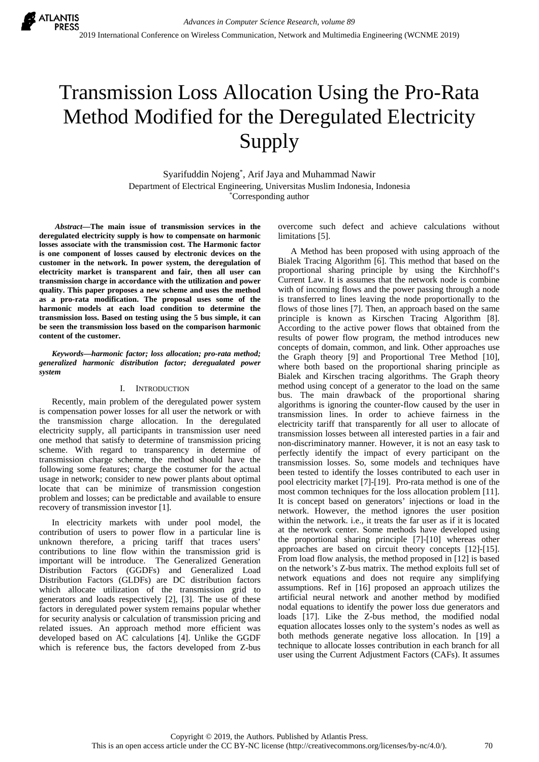# Transmission Loss Allocation Using the Pro-Rata Method Modified for the Deregulated Electricity Supply

Syarifuddin Nojeng\* , Arif Jaya and Muhammad Nawir Department of Electrical Engineering, Universitas Muslim Indonesia, Indonesia \* Corresponding author

*Abstract—***The main issue of transmission services in the deregulated electricity supply is how to compensate on harmonic losses associate with the transmission cost. The Harmonic factor is one component of losses caused by electronic devices on the customer in the network. In power system, the deregulation of electricity market is transparent and fair, then all user can transmission charge in accordance with the utilization and power quality. This paper proposes a new scheme and uses the method as a pro-rata modification. The proposal uses some of the harmonic models at each load condition to determine the transmission loss. Based on testing using the 5 bus simple, it can be seen the transmission loss based on the comparison harmonic content of the customer.** 

*Keywords***—***harmonic factor; loss allocation; pro-rata method; generalized harmonic distribution factor; deregualated power system* 

# I. INTRODUCTION

Recently, main problem of the deregulated power system is compensation power losses for all user the network or with the transmission charge allocation. In the deregulated electricity supply, all participants in transmission user need one method that satisfy to determine of transmission pricing scheme. With regard to transparency in determine of transmission charge scheme, the method should have the following some features; charge the costumer for the actual usage in network; consider to new power plants about optimal locate that can be minimize of transmission congestion problem and losses; can be predictable and available to ensure recovery of transmission investor [1].

In electricity markets with under pool model, the contribution of users to power flow in a particular line is unknown therefore, a pricing tariff that traces users' contributions to line flow within the transmission grid is important will be introduce. The Generalized Generation Distribution Factors (GGDFs) and Generalized Load Distribution Factors (GLDFs) are DC distribution factors which allocate utilization of the transmission grid to generators and loads respectively [2], [3]. The use of these factors in deregulated power system remains popular whether for security analysis or calculation of transmission pricing and related issues. An approach method more efficient was developed based on AC calculations [4]. Unlike the GGDF which is reference bus, the factors developed from Z-bus

overcome such defect and achieve calculations without limitations [5].

A Method has been proposed with using approach of the Bialek Tracing Algorithm [6]. This method that based on the proportional sharing principle by using the Kirchhoff's Current Law. It is assumes that the network node is combine with of incoming flows and the power passing through a node is transferred to lines leaving the node proportionally to the flows of those lines [7]. Then, an approach based on the same principle is known as Kirschen Tracing Algorithm [8]. According to the active power flows that obtained from the results of power flow program, the method introduces new concepts of domain, common, and link. Other approaches use the Graph theory [9] and Proportional Tree Method [10], where both based on the proportional sharing principle as Bialek and Kirschen tracing algorithms. The Graph theory method using concept of a generator to the load on the same bus. The main drawback of the proportional sharing algorithms is ignoring the counter-flow caused by the user in transmission lines. In order to achieve fairness in the electricity tariff that transparently for all user to allocate of transmission losses between all interested parties in a fair and non-discriminatory manner. However, it is not an easy task to perfectly identify the impact of every participant on the transmission losses. So, some models and techniques have been tested to identify the losses contributed to each user in pool electricity market [7]-[19]. Pro-rata method is one of the most common techniques for the loss allocation problem [11]. It is concept based on generators' injections or load in the network. However, the method ignores the user position within the network. i.e., it treats the far user as if it is located at the network center. Some methods have developed using the proportional sharing principle [7]-[10] whereas other approaches are based on circuit theory concepts [12]-[15]. From load flow analysis, the method proposed in [12] is based on the network's Z-bus matrix. The method exploits full set of network equations and does not require any simplifying assumptions. Ref in [16] proposed an approach utilizes the artificial neural network and another method by modified nodal equations to identify the power loss due generators and loads [17]. Like the Z-bus method, the modified nodal equation allocates losses only to the system's nodes as well as both methods generate negative loss allocation. In [19] a technique to allocate losses contribution in each branch for all user using the Current Adjustment Factors (CAFs). It assumes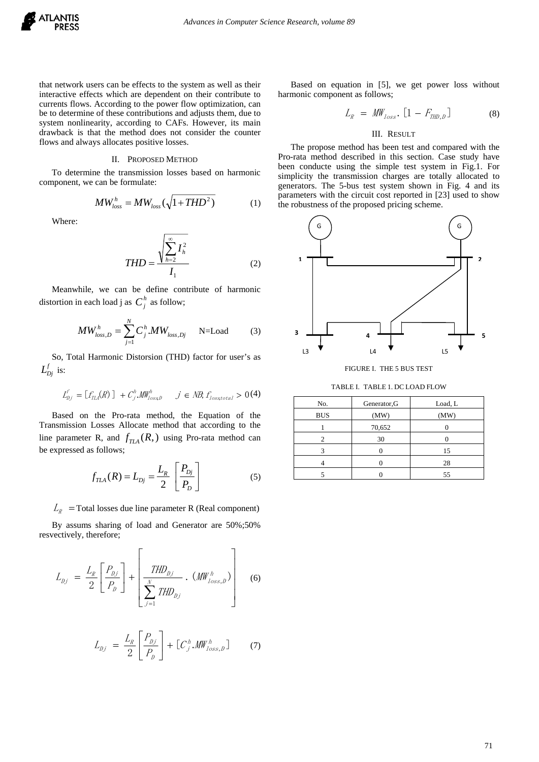

that network users can be effects to the system as well as their interactive effects which are dependent on their contribute to currents flows. According to the power flow optimization, can be to determine of these contributions and adjusts them, due to system nonlinearity, according to CAFs. However, its main drawback is that the method does not consider the counter flows and always allocates positive losses.

#### II. PROPOSED METHOD

To determine the transmission losses based on harmonic component, we can be formulate:

$$
MW_{loss}^h = MW_{loss}(\sqrt{1 + THD^2})
$$
 (1)

Where:

$$
THD = \frac{\sqrt{\sum_{h=2}^{\infty} I_h^2}}{I_1}
$$
 (2)

Meanwhile, we can be define contribute of harmonic distortion in each load j as  $C_i^h$  as follow;

$$
MW_{loss,D}^h = \sum_{j=1}^N C_j^h. MW_{loss,Dj} \qquad \text{N=Load} \tag{3}
$$

So, Total Harmonic Distorsion (THD) factor for user's as  $L_{Di}^f$  is:

$$
I_{pj}^{\ell} = \big[ f_{\text{TLA}}(R) \big] \, + C_j^h \mathcal{M} W_{lossD}^h \quad \ j \in \text{NB}, f_{losstotal} > 0 \, (4)
$$

Based on the Pro-rata method, the Equation of the Transmission Losses Allocate method that according to the line parameter R, and  $f_{TLA}(R)$ , using Pro-rata method can be expressed as follows;

$$
f_{TLA}(R) = L_{Dj} = \frac{L_R}{2} \left[ \frac{P_{Dj}}{P_D} \right]
$$
 (5)

 $L_R$  = Total losses due line parameter R (Real component)

By assums sharing of load and Generator are 50%;50% resvectively, therefore;

$$
L_{Dj} = \frac{L_R}{2} \left[ \frac{P_{Dj}}{P_D} \right] + \left[ \frac{THD_{Dj}}{\sum_{j=1}^{N} THD_{Dj}} \cdot (MW_{loss,D}^h) \right]
$$
 (6)

$$
L_{Dj} = \frac{L_R}{2} \left[ \frac{P_{Dj}}{P_D} \right] + \left[ C_j^h \mathcal{M} W_{loss,D}^h \right] \tag{7}
$$

Based on equation in [5], we get power loss without harmonic component as follows;

$$
L_R = \text{MW}_{loss}.\left[1 - F_{\text{THD},D}\right] \tag{8}
$$

# III. RESULT

The propose method has been test and compared with the Pro-rata method described in this section. Case study have been conducte using the simple test system in Fig.1. For simplicity the transmission charges are totally allocated to generators. The 5-bus test system shown in Fig. 4 and its parameters with the circuit cost reported in [23] used to show the robustness of the proposed pricing scheme.



FIGURE I. THE 5 BUS TEST

TABLE I. TABLE 1. DC LOAD FLOW

| No.        | Generator, G | Load, L |  |
|------------|--------------|---------|--|
| <b>BUS</b> | (MW)         | (MW)    |  |
|            | 70,652       |         |  |
|            | 30           |         |  |
|            |              | 15      |  |
|            |              | 28      |  |
|            |              | 55      |  |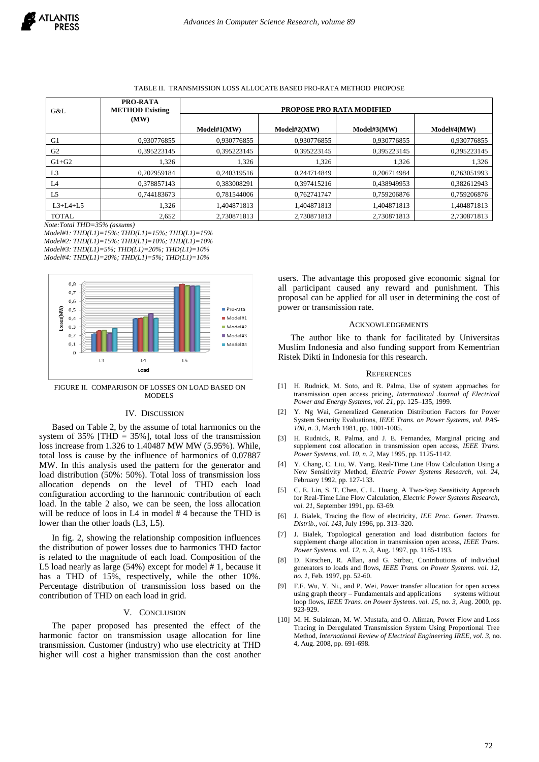## TABLE II. TRANSMISSION LOSS ALLOCATE BASED PRO-RATA METHOD PROPOSE

| G&L            | <b>PRO-RATA</b><br><b>METHOD Existing</b> | <b>PROPOSE PRO RATA MODIFIED</b> |             |             |             |
|----------------|-------------------------------------------|----------------------------------|-------------|-------------|-------------|
|                | (MW)                                      |                                  |             |             |             |
|                |                                           | Model#1(MW)                      | Model#2(MW) | Model#3(MW) | Model#4(MW) |
| G1             | 0.930776855                               | 0.930776855                      | 0,930776855 | 0.930776855 | 0,930776855 |
| G <sub>2</sub> | 0.395223145                               | 0.395223145                      | 0.395223145 | 0.395223145 | 0.395223145 |
| $G1+G2$        | 1,326                                     | 1,326                            | 1,326       | 1,326       | 1,326       |
| L <sub>3</sub> | 0.202959184                               | 0.240319516                      | 0.244714849 | 0.206714984 | 0.263051993 |
| L4             | 0.378857143                               | 0.383008291                      | 0.397415216 | 0.438949953 | 0.382612943 |
| L <sub>5</sub> | 0.744183673                               | 0.781544006                      | 0.762741747 | 0.759206876 | 0,759206876 |
| $L3+L4+L5$     | 1,326                                     | 1.404871813                      | 1.404871813 | 1.404871813 | 1.404871813 |
| <b>TOTAL</b>   | 2,652                                     | 2.730871813                      | 2.730871813 | 2.730871813 | 2.730871813 |

*Note:Total THD=35% (assums)* 

*Model#1: THD(L1)=15%; THD(L1)=15%; THD(L1)=15% Model#2: THD(L1)=15%; THD(L1)=10%; THD(L1)=10% Model#3: THD(L1)=5%; THD(L1)=20%; THD(L1)=10% Model#4: THD(L1)=20%; THD(L1)=5%; THD(L1)=10%* 



FIGURE II. COMPARISON OF LOSSES ON LOAD BASED ON MODEL<sub>S</sub>

## IV. DISCUSSION

Based on Table 2, by the assume of total harmonics on the system of  $35\%$  [THD =  $35\%$ ], total loss of the transmission loss increase from 1.326 to 1.40487 MW MW (5.95%). While, total loss is cause by the influence of harmonics of 0.07887 MW. In this analysis used the pattern for the generator and load distribution (50%: 50%). Total loss of transmission loss allocation depends on the level of THD each load configuration according to the harmonic contribution of each load. In the table 2 also, we can be seen, the loss allocation will be reduce of loos in L4 in model #4 because the THD is lower than the other loads (L3, L5).

In fig. 2, showing the relationship composition influences the distribution of power losses due to harmonics THD factor is related to the magnitude of each load. Composition of the L5 load nearly as large (54%) except for model # 1, because it has a THD of 15%, respectively, while the other 10%. Percentage distribution of transmission loss based on the contribution of THD on each load in grid.

## V. CONCLUSION

The paper proposed has presented the effect of the harmonic factor on transmission usage allocation for line transmission. Customer (industry) who use electricity at THD higher will cost a higher transmission than the cost another

users. The advantage this proposed give economic signal for all participant caused any reward and punishment. This proposal can be applied for all user in determining the cost of power or transmission rate.

#### ACKNOWLEDGEMENTS

The author like to thank for facilitated by Universitas Muslim Indonesia and also funding support from Kementrian Ristek Dikti in Indonesia for this research.

## **REFERENCES**

- [1] H. Rudnick, M. Soto, and R. Palma, Use of system approaches for transmission open access pricing, *International Journal of Electrical Power and Energy Systems, vol. 21,* pp. 125–135, 1999.
- [2] Y. Ng Wai, Generalized Generation Distribution Factors for Power System Security Evaluations, *IEEE Trans. on Power Systems, vol. PAS-100, n. 3,* March 1981, pp. 1001-1005.
- [3] H. Rudnick, R. Palma, and J. E. Fernandez, Marginal pricing and supplement cost allocation in transmission open access, *IEEE Trans. Power Systems, vol. 10, n. 2,* May 1995, pp. 1125-1142.
- [4] Y. Chang, C. Liu, W. Yang, Real-Time Line Flow Calculation Using a New Sensitivity Method, *Electric Power Systems Research, vol. 24,*  February 1992, pp. 127-133.
- [5] C. E. Lin, S. T. Chen, C. L. Huang, A Two-Step Sensitivity Approach for Real-Time Line Flow Calculation, *Electric Power Systems Research, vol. 21,* September 1991, pp. 63-69.
- [6] J. Bialek, Tracing the flow of electricity, *IEE Proc. Gener. Transm. Distrib., vol. 143,* July 1996, pp. 313–320.
- [7] J. Bialek, Topological generation and load distribution factors for supplement charge allocation in transmission open access, *IEEE Trans. Power Systems. vol. 12, n. 3,* Aug. 1997, pp. 1185-1193.
- [8] D. Kirschen, R. Allan, and G. Strbac, Contributions of individual generators to loads and flows, *IEEE Trans. on Power Systems*. *vol. 12, no. 1,* Feb. 1997, pp. 52-60.
- [9] F.F. Wu, Y. Ni., and P. Wei, Power transfer allocation for open access using graph theory – Fundamentals and applications loop flows, *IEEE Trans. on Power Systems*. *vol. 15, no. 3,* Aug. 2000, pp. 923-929.
- [10] M. H. Sulaiman, M. W. Mustafa, and O. Aliman, Power Flow and Loss Tracing in Deregulated Transmission System Using Proportional Tree Method, *International Review of Electrical Engineering IREE, vol. 3,* no. 4, Aug. 2008, pp. 691-698.